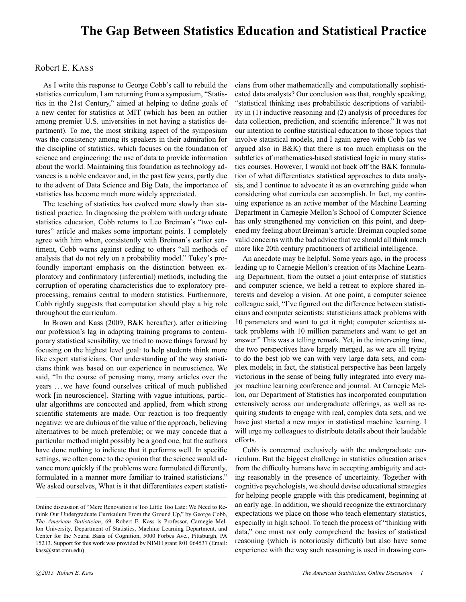## **The Gap Between Statistics Education and Statistical Practice**

## Robert E. KASS

As I write this response to George Cobb's call to rebuild the statistics curriculum, I am returning from a symposium, "Statistics in the 21st Century," aimed at helping to define goals of a new center for statistics at MIT (which has been an outlier among premier U.S. universities in not having a statistics department). To me, the most striking aspect of the symposium was the consistency among its speakers in their admiration for the discipline of statistics, which focuses on the foundation of science and engineering: the use of data to provide information about the world. Maintaining this foundation as technology advances is a noble endeavor and, in the past few years, partly due to the advent of Data Science and Big Data, the importance of statistics has become much more widely appreciated.

The teaching of statistics has evolved more slowly than statistical practice. In diagnosing the problem with undergraduate statistics education, Cobb returns to Leo Breiman's "two cultures" article and makes some important points. I completely agree with him when, consistently with Breiman's earlier sentiment, Cobb warns against ceding to others "all methods of analysis that do not rely on a probability model." Tukey's profoundly important emphasis on the distinction between exploratory and confirmatory (inferential) methods, including the corruption of operating characteristics due to exploratory preprocessing, remains central to modern statistics. Furthermore, Cobb rightly suggests that computation should play a big role throughout the curriculum.

In Brown and Kass (2009, B&K hereafter), after criticizing our profession's lag in adapting training programs to contemporary statistical sensibility, we tried to move things forward by focusing on the highest level goal: to help students think more like expert statisticians. Our understanding of the way statisticians think was based on our experience in neuroscience. We said, "In the course of perusing many, many articles over the years . . . we have found ourselves critical of much published work [in neuroscience]. Starting with vague intuitions, particular algorithms are concocted and applied, from which strong scientific statements are made. Our reaction is too frequently negative: we are dubious of the value of the approach, believing alternatives to be much preferable; or we may concede that a particular method might possibly be a good one, but the authors have done nothing to indicate that it performs well. In specific settings, we often come to the opinion that the science would advance more quickly if the problems were formulated differently, formulated in a manner more familiar to trained statisticians." We asked ourselves, What is it that differentiates expert statisticians from other mathematically and computationally sophisticated data analysts? Our conclusion was that, roughly speaking, "statistical thinking uses probabilistic descriptions of variability in (1) inductive reasoning and (2) analysis of procedures for data collection, prediction, and scientific inference." It was not our intention to confine statistical education to those topics that involve statistical models, and I again agree with Cobb (as we argued also in B&K) that there is too much emphasis on the subtleties of mathematics-based statistical logic in many statistics courses. However, I would not back off the B&K formulation of what differentiates statistical approaches to data analysis, and I continue to advocate it as an overarching guide when considering what curricula can accomplish. In fact, my continuing experience as an active member of the Machine Learning Department in Carnegie Mellon's School of Computer Science has only strengthened my conviction on this point, and deepened my feeling about Breiman's article: Breiman coupled some valid concerns with the bad advice that we should all think much more like 20th century practitioners of artificial intelligence.

An anecdote may be helpful. Some years ago, in the process leading up to Carnegie Mellon's creation of its Machine Learning Department, from the outset a joint enterprise of statistics and computer science, we held a retreat to explore shared interests and develop a vision. At one point, a computer science colleague said, "I've figured out the difference between statisticians and computer scientists: statisticians attack problems with 10 parameters and want to get it right; computer scientists attack problems with 10 million parameters and want to get an answer." This was a telling remark. Yet, in the intervening time, the two perspectives have largely merged, as we are all trying to do the best job we can with very large data sets, and complex models; in fact, the statistical perspective has been largely victorious in the sense of being fully integrated into every major machine learning conference and journal. At Carnegie Mellon, our Department of Statistics has incorporated computation extensively across our undergraduate offerings, as well as requiring students to engage with real, complex data sets, and we have just started a new major in statistical machine learning. I will urge my colleagues to distribute details about their laudable efforts.

Cobb is concerned exclusively with the undergraduate curriculum. But the biggest challenge in statistics education arises from the difficulty humans have in accepting ambiguity and acting reasonably in the presence of uncertainty. Together with cognitive psychologists, we should devise educational strategies for helping people grapple with this predicament, beginning at an early age. In addition, we should recognize the extraordinary expectations we place on those who teach elementary statistics, especially in high school. To teach the process of "thinking with data," one must not only comprehend the basics of statistical reasoning (which is notoriously difficult) but also have some experience with the way such reasoning is used in drawing con-

Online discussion of "Mere Renovation is Too Little Too Late: We Need to Rethink Our Undergraduate Curriculum From the Ground Up," by George Cobb, *The American Statistician*, 69. Robert E. Kass is Professor, Carnegie Mellon University, Department of Statistics, Machine Learning Department, and Center for the Neural Basis of Cognition, 5000 Forbes Ave., Pittsburgh, PA 15213. Support for this work was provided by NIMH grant R01 064537 (Email: kass@stat.cmu.edu).